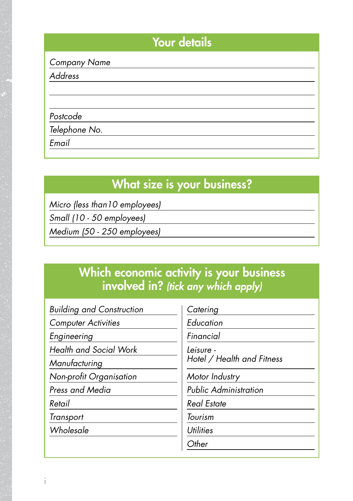#### Your details

*Company Name*

*Address*

*Postcode*

*Telephone No.*

*Email*

# What size is your business?

*Micro (less than10 employees)*

*Small (10 - 50 employees)*

*Medium (50 - 250 employees)*

### Which economic activity is your business involved in? *(tick any which apply)*

| <b>Building and Construction</b> |
|----------------------------------|
| <b>Computer Activities</b>       |
| Engineering                      |
| <b>Health and Social Work</b>    |
| Manufacturing                    |
| Non-profit Organisation          |
| Press and Media                  |
| Retail                           |
| Transport                        |
| Wholesale                        |
|                                  |

*Catering*

*Education*

*Financial*

*Leisure - Hotel / Health and Fitness*

*Motor Industry*

*Public Administration*

*Real Estate*

*Tourism*

*Utilities*

*Other*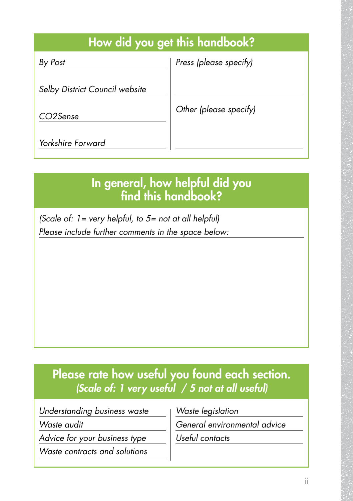# How did you get this handbook?

*By Post*

*Press (please specify)* 

*Selby District Council website*

*CO2Sense*

*Other (please specify)* 

*Yorkshire Forward*

# In general, how helpful did you find this handbook?

*(Scale of: 1= very helpful, to 5= not at all helpful) Please include further comments in the space below:*

# Please rate how useful you found each section. *(Scale of: 1 very useful / 5 not at all useful)*

*Understanding business waste*

*Waste audit*

*Advice for your business type*

*Waste contracts and solutions*

*Waste legislation*

*General environmental advice*

*Useful contacts*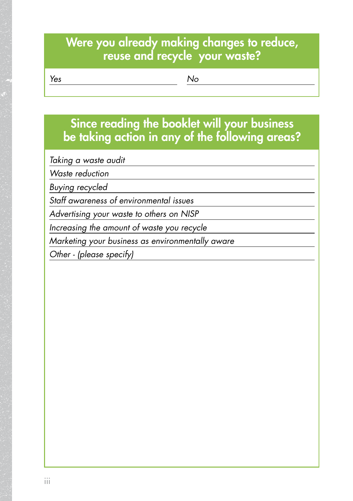#### Were you already making changes to reduce, reuse and recycle your waste?

*Yes*

*No*

## Since reading the booklet will your business be taking action in any of the following areas?

*Taking a waste audit* 

*Waste reduction*

*Buying recycled*

*Staff awareness of environmental issues*

*Advertising your waste to others on NISP*

*Increasing the amount of waste you recycle*

*Marketing your business as environmentally aware* 

*Other - (please specify)*